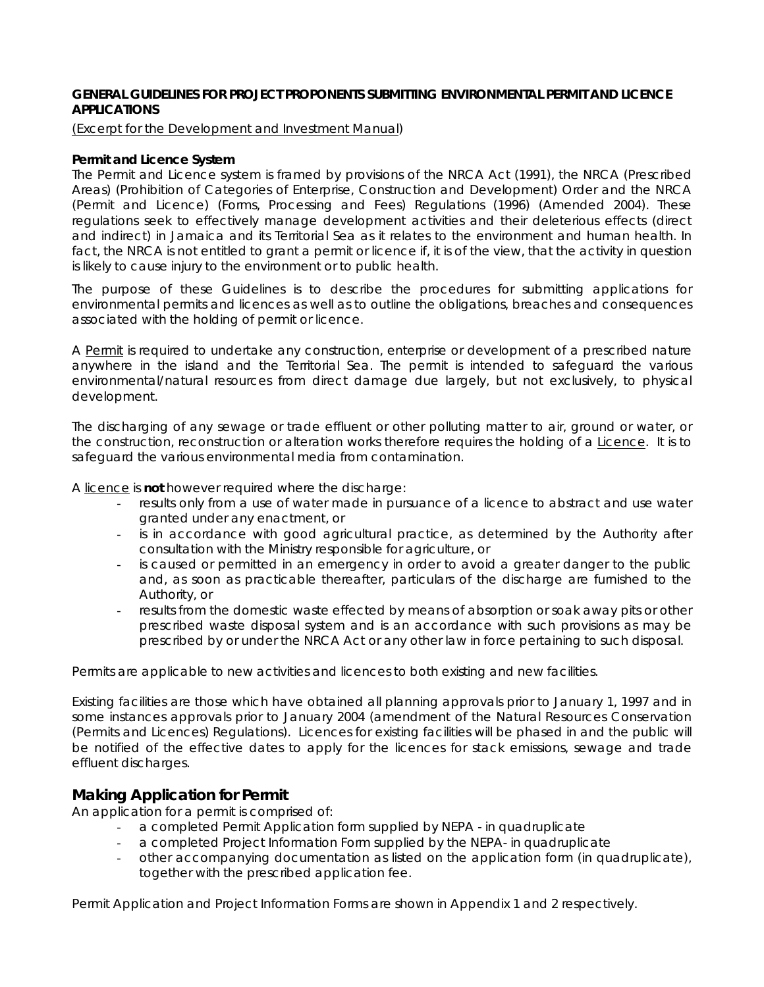# **GENERAL GUIDELINES FOR PROJECT PROPONENTS SUBMITTING ENVIRONMENTAL PERMIT AND LICENCE APPLICATIONS**

### *(Excerpt for the Development and Investment Manual*)

### *Permit and Licence System*

The Permit and Licence system is framed by provisions of the NRCA Act (1991), the NRCA (Prescribed Areas) (Prohibition of Categories of Enterprise, Construction and Development) Order and the NRCA (Permit and Licence) (Forms, Processing and Fees) Regulations (1996) (Amended 2004). These regulations seek to effectively manage development activities and their deleterious effects (direct and indirect) in Jamaica and its Territorial Sea as it relates to the environment and human health. In fact, the NRCA is not entitled to grant a permit or licence if, it is of the view, that the activity in question is likely to cause injury to the environment or to public health.

The purpose of these Guidelines is to describe the procedures for submitting applications for environmental permits and licences as well as to outline the obligations, breaches and consequences associated with the holding of permit or licence.

A Permit is required to undertake any construction, enterprise or development of a prescribed nature anywhere in the island and the Territorial Sea. The permit is intended to safeguard the various environmental/natural resources from direct damage due largely, but not exclusively, to physical development.

The discharging of any sewage or trade effluent or other polluting matter to air, ground or water, or the construction, reconstruction or alteration works therefore requires the holding of a Licence. It is to safeguard the various environmental media from contamination.

A licence is **not** however required where the discharge:

- results only from a use of water made in pursuance of a licence to abstract and use water granted under any enactment, or
- is in accordance with good agricultural practice, as determined by the Authority after consultation with the Ministry responsible for agriculture, or
- is caused or permitted in an emergency in order to avoid a greater danger to the public and, as soon as practicable thereafter, particulars of the discharge are furnished to the Authority, or
- results from the domestic waste effected by means of absorption or soak away pits or other prescribed waste disposal system and is an accordance with such provisions as may be prescribed by or under the NRCA Act or any other law in force pertaining to such disposal.

Permits are applicable to new activities and licences to both existing and new facilities.

Existing facilities are those which have obtained all planning approvals prior to January 1, 1997 and in some instances approvals prior to January 2004 (amendment of the Natural Resources Conservation (Permits and Licences) Regulations). Licences for existing facilities will be phased in and the public will be notified of the effective dates to apply for the licences for stack emissions, sewage and trade effluent discharges.

# *Making Application for Permit*

An application for a permit is comprised of:

- a completed Permit Application form supplied by NEPA in quadruplicate
- a completed Project Information Form supplied by the NEPA- in quadruplicate
- other accompanying documentation as listed on the application form (in quadruplicate), together with the prescribed application fee.

Permit Application and Project Information Forms are shown in Appendix 1 and 2 respectively.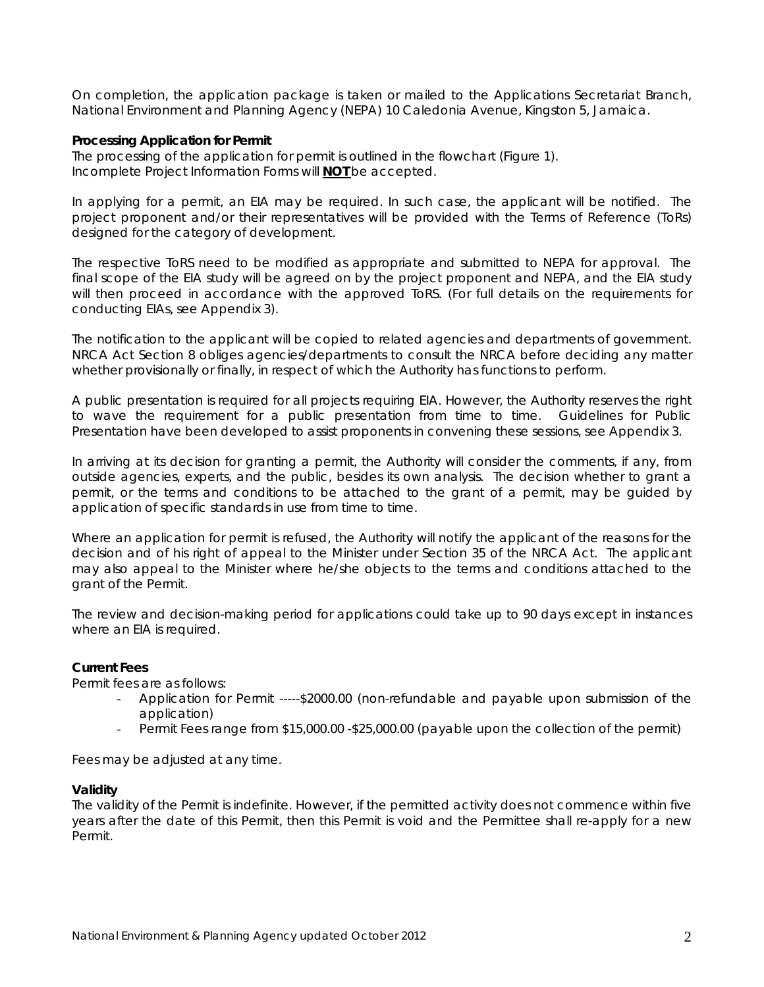On completion, the application package is taken or mailed to the Applications Secretariat Branch, National Environment and Planning Agency (NEPA) 10 Caledonia Avenue, Kingston 5, Jamaica.

### *Processing Application for Permit*

The processing of the application for permit is outlined in the flowchart (Figure 1). Incomplete Project Information Forms will **NOT** be accepted.

In applying for a permit, an EIA may be required. In such case, the applicant will be notified. The project proponent and/or their representatives will be provided with the Terms of Reference (ToRs) designed for the category of development.

The respective ToRS need to be modified as appropriate and submitted to NEPA for approval. The final scope of the EIA study will be agreed on by the project proponent and NEPA, and the EIA study will then proceed in accordance with the approved ToRS. (For full details on the requirements for conducting EIAs, see Appendix 3).

The notification to the applicant will be copied to related agencies and departments of government. NRCA Act Section 8 obliges agencies/departments to consult the NRCA before deciding any matter whether provisionally or finally, in respect of which the Authority has functions to perform.

A public presentation is required for all projects requiring EIA. However, the Authority reserves the right to wave the requirement for a public presentation from time to time. Guidelines for Public Presentation have been developed to assist proponents in convening these sessions, see Appendix 3.

In arriving at its decision for granting a permit, the Authority will consider the comments, if any, from outside agencies, experts, and the public, besides its own analysis. The decision whether to grant a permit, or the terms and conditions to be attached to the grant of a permit, may be guided by application of specific standards in use from time to time.

Where an application for permit is refused, the Authority will notify the applicant of the reasons for the decision and of his right of appeal to the Minister under Section 35 of the NRCA Act. The applicant may also appeal to the Minister where he/she objects to the terms and conditions attached to the grant of the Permit.

The review and decision-making period for applications could take up to 90 days except in instances where an EIA is required.

### *Current Fees*

Permit fees are as follows:

- Application for Permit ----- \$2000.00 (non-refundable and payable upon submission of the application)
- Permit Fees range from \$15,000.00 -\$25,000.00 (payable upon the collection of the permit)

Fees may be adjusted at any time.

#### *Validity*

The validity of the Permit is indefinite. However, if the permitted activity does not commence within five years after the date of this Permit, then this Permit is void and the Permittee shall re-apply for a new Permit.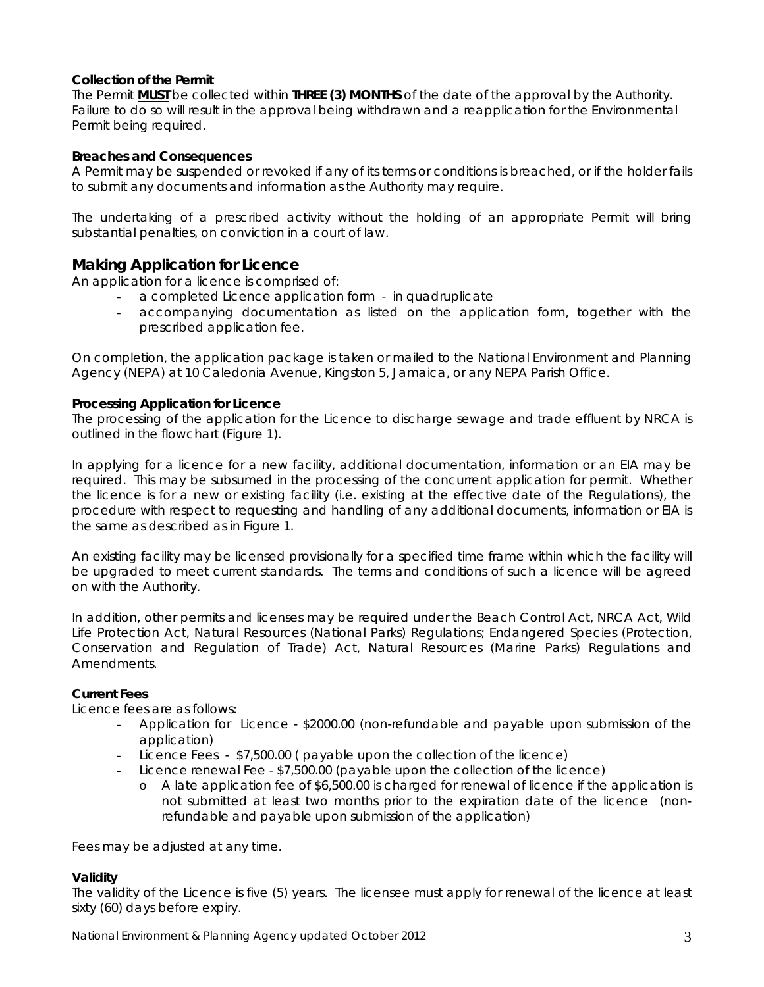# *Collection of the Permit*

The Permit **MUST** be collected within **THREE (3) MONTHS** of the date of the approval by the Authority. Failure to do so will result in the approval being withdrawn and a reapplication for the Environmental Permit being required.

# *Breaches and Consequences*

A Permit may be suspended or revoked if any of its terms or conditions is breached, or if the holder fails to submit any documents and information as the Authority may require.

The undertaking of a prescribed activity without the holding of an appropriate Permit will bring substantial penalties, on conviction in a court of law.

# *Making Application for Licence*

An application for a licence is comprised of:

- a completed Licence application form in quadruplicate
- accompanying documentation as listed on the application form, together with the prescribed application fee.

On completion, the application package is taken or mailed to the National Environment and Planning Agency (NEPA) at 10 Caledonia Avenue, Kingston 5, Jamaica, or any NEPA Parish Office.

### *Processing Application for Licence*

The processing of the application for the Licence to discharge sewage and trade effluent by NRCA is outlined in the flowchart (Figure 1).

In applying for a licence for a new facility, additional documentation, information or an EIA may be required. This may be subsumed in the processing of the concurrent application for permit. Whether the licence is for a new or existing facility (i.e. existing at the effective date of the Regulations), the procedure with respect to requesting and handling of any additional documents, information or EIA is the same as described as in Figure 1.

An existing facility may be licensed provisionally for a specified time frame within which the facility will be upgraded to meet current standards. The terms and conditions of such a licence will be agreed on with the Authority.

In addition, other permits and licenses may be required under the Beach Control Act, NRCA Act, Wild Life Protection Act, Natural Resources (National Parks) Regulations; Endangered Species (Protection, Conservation and Regulation of Trade) Act, Natural Resources (Marine Parks) Regulations and Amendments.

# *Current Fees*

Licence fees are as follows:

- Application for Licence \$2000.00 (non-refundable and payable upon submission of the application)
- Licence Fees \$7,500.00 ( payable upon the collection of the licence)
- Licence renewal Fee \$7,500.00 (payable upon the collection of the licence)
	- o A late application fee of \$6,500.00 is charged for renewal of licence if the application is not submitted at least two months prior to the expiration date of the licence (nonrefundable and payable upon submission of the application)

Fees may be adjusted at any time.

#### *Validity*

The validity of the Licence is five (5) years. The licensee must apply for renewal of the licence at least sixty (60) days before expiry.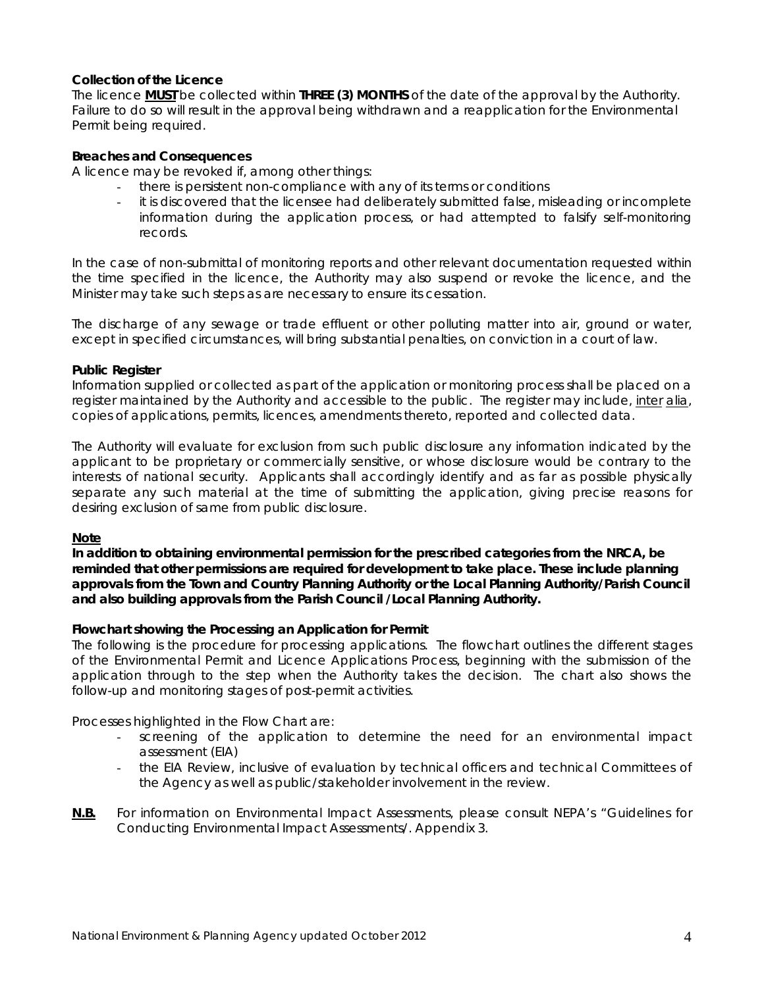# *Collection of the Licence*

The licence **MUST** be collected within **THREE (3) MONTHS** of the date of the approval by the Authority. Failure to do so will result in the approval being withdrawn and a reapplication for the Environmental Permit being required.

# *Breaches and Consequences*

A licence may be revoked if, among other things:

- there is persistent non-compliance with any of its terms or conditions
- it is discovered that the licensee had deliberately submitted false, misleading or incomplete information during the application process, or had attempted to falsify self-monitoring records.

In the case of non-submittal of monitoring reports and other relevant documentation requested within the time specified in the licence, the Authority may also suspend or revoke the licence, and the Minister may take such steps as are necessary to ensure its cessation.

The discharge of any sewage or trade effluent or other polluting matter into air, ground or water, except in specified circumstances, will bring substantial penalties, on conviction in a court of law.

# *Public Register*

Information supplied or collected as part of the application or monitoring process shall be placed on a register maintained by the Authority and accessible to the public. The register may include, inter alia, copies of applications, permits, licences, amendments thereto, reported and collected data.

The Authority will evaluate for exclusion from such public disclosure any information indicated by the applicant to be proprietary or commercially sensitive, or whose disclosure would be contrary to the interests of national security. Applicants shall accordingly identify and as far as possible physically separate any such material at the time of submitting the application, giving precise reasons for desiring exclusion of same from public disclosure.

#### **Note**

**In addition to obtaining environmental permission for the prescribed categories from the NRCA, be reminded that other permissions are required for development to take place. These include planning approvals from the Town and Country Planning Authority or the Local Planning Authority/Parish Council and also building approvals from the Parish Council /Local Planning Authority.** 

# *Flowchart showing the Processing an Application for Permit*

The following is the procedure for processing applications. The flowchart outlines the different stages of the Environmental Permit and Licence Applications Process, beginning with the submission of the application through to the step when the Authority takes the decision. The chart also shows the follow-up and monitoring stages of post-permit activities.

Processes highlighted in the Flow Chart are:

- screening of the application to determine the need for an environmental impact assessment (EIA)
- the EIA Review, inclusive of evaluation by technical officers and technical Committees of the Agency as well as public/stakeholder involvement in the review.

### *N.B. For information on Environmental Impact Assessments, please consult NEPA's "Guidelines for Conducting Environmental Impact Assessments/.* Appendix 3.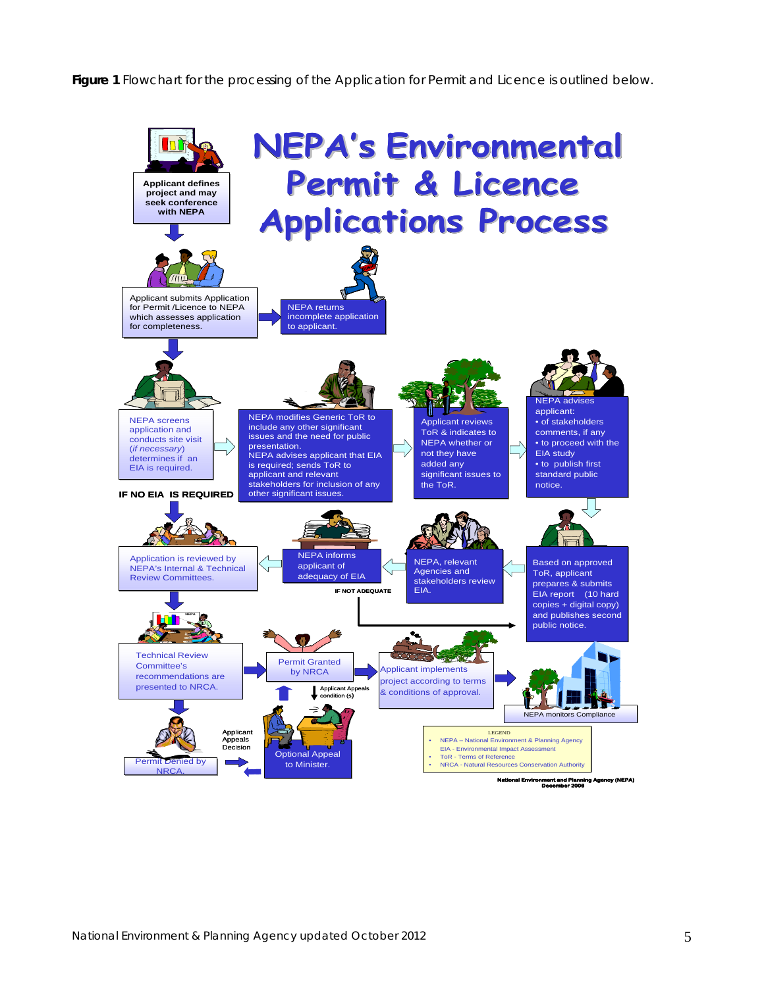**Figure 1** Flowchart for the processing of the Application for Permit and Licence is outlined below.

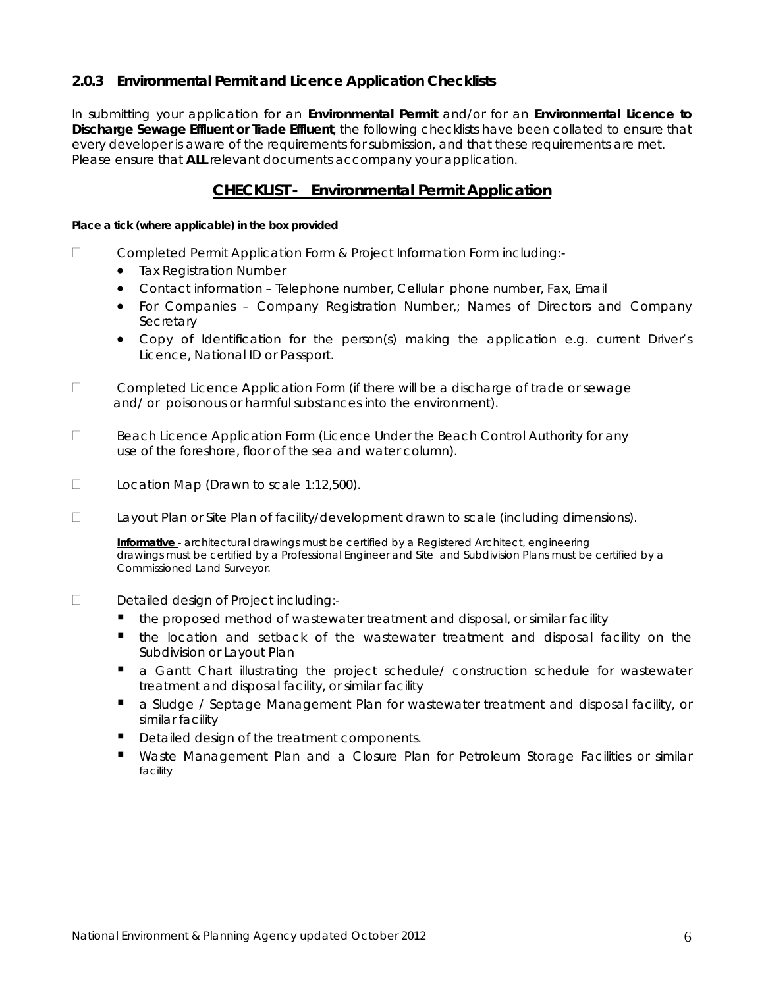# **2.0.3 Environmental Permit and Licence Application Checklists**

In submitting your application for an **Environmental Permit** and/or for an **Environmental Licence to Discharge Sewage Effluent or Trade Effluent**, the following checklists have been collated to ensure that every developer is aware of the requirements for submission, and that these requirements are met. Please ensure that **ALL** relevant documents accompany your application.

# **CHECKLIST - Environmental Permit Application**

#### **Place a tick (where applicable) in the box provided**

- □ Completed Permit Application Form & Project Information Form including:-
	- **•** Tax Registration Number
	- Contact information Telephone number, Cellular phone number, Fax, Email
	- For Companies Company Registration Number,; Names of Directors and Company **Secretary**
	- Copy of Identification for the person(s) making the application e.g. current Driver's Licence, National ID or Passport.
- $\Box$  Completed Licence Application Form (if there will be a discharge of trade or sewage and/ or poisonous or harmful substances into the environment).
- $\Box$  Beach Licence Application Form (Licence Under the Beach Control Authority for any use of the foreshore, floor of the sea and water column).
- $\Box$  Location Map (Drawn to scale 1:12,500).
- $\Box$  Layout Plan or Site Plan of facility/development drawn to scale (including dimensions).

 **Informative** - architectural drawings must be certified by a Registered Architect, engineering drawings must be certified by a Professional Engineer and Site and Subdivision Plans must be certified by a Commissioned Land Surveyor.

# Detailed design of Project including:-

- the proposed method of wastewater treatment and disposal, or similar facility
- the location and setback of the wastewater treatment and disposal facility on the Subdivision or Layout Plan
- a Gantt Chart illustrating the project schedule/ construction schedule for wastewater treatment and disposal facility, or similar facility
- **a** Sludge / Septage Management Plan for wastewater treatment and disposal facility, or similar facility
- Detailed design of the treatment components.
- Waste Management Plan and a Closure Plan for Petroleum Storage Facilities or similar facility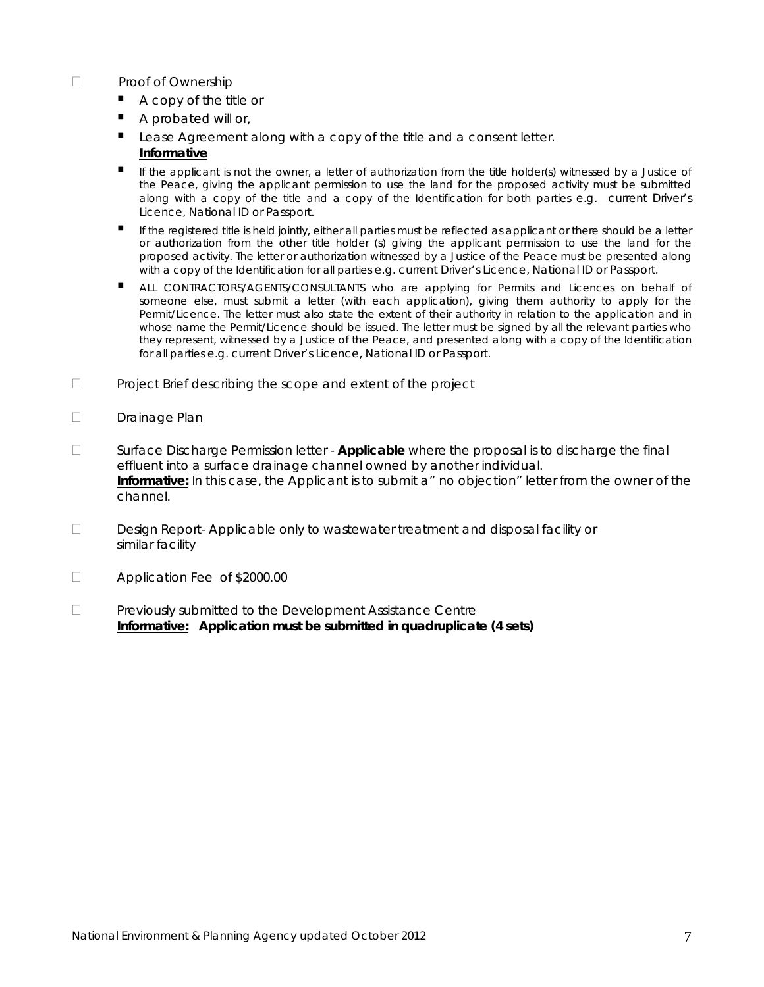# D Proof of Ownership

- A copy of the title or
- A probated will or,
- Lease Agreement along with a copy of the title and a consent letter.  **Informative**
- If the applicant is not the owner, a letter of authorization from the title holder(s) witnessed by a Justice of the Peace, giving the applicant permission to use the land for the proposed activity must be submitted along with a copy of the title and a copy of the Identification for both parties e.g. current Driver's Licence, National ID or Passport.
- If the registered title is held jointly, either all parties must be reflected as applicant or there should be a letter or authorization from the other title holder (s) giving the applicant permission to use the land for the proposed activity. The letter or authorization witnessed by a Justice of the Peace must be presented along with a copy of the Identification for all parties e.g. current Driver's Licence, National ID or Passport.
- ALL CONTRACTORS/AGENTS/CONSULTANTS who are applying for Permits and Licences on behalf of someone else, must submit a letter (with each application), giving them authority to apply for the Permit/Licence. The letter must also state the extent of their authority in relation to the application and in whose name the Permit/Licence should be issued. The letter must be signed by all the relevant parties who they represent, witnessed by a Justice of the Peace, and presented along with a copy of the Identification for all parties e.g. current Driver's Licence, National ID or Passport.
- □ Project Brief describing the scope and extent of the project
- Drainage Plan
- Surface Discharge Permission letter **Applicable** where the proposal is to discharge the final effluent into a surface drainage channel owned by another individual. **Informative:** In this case, the Applicant is to submit a" no objection" letter from the owner of the channel.
- Design Report- Applicable only to wastewater treatment and disposal facility or similar facility
- □ Application Fee of \$2000.00
- Previously submitted to the Development Assistance Centre  **Informative: Application must be submitted in quadruplicate (4 sets)**